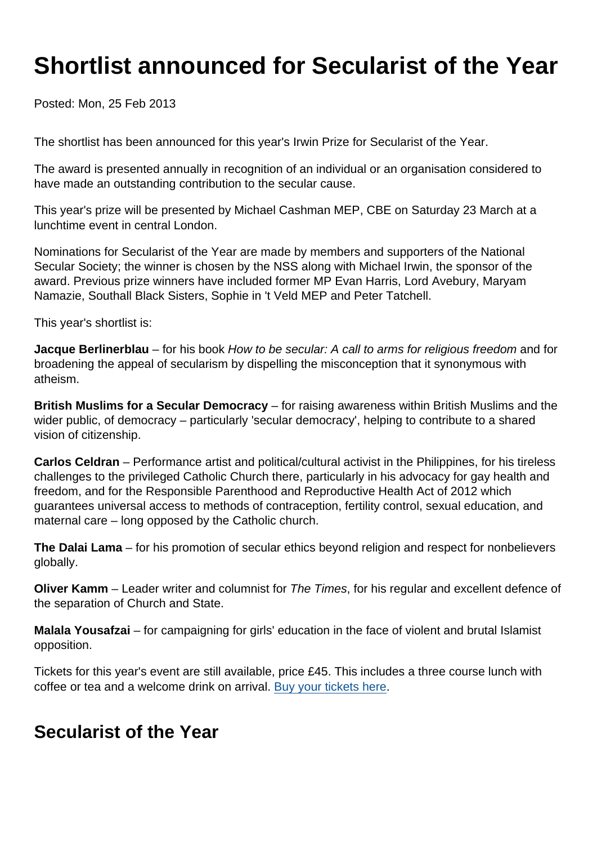## Shortlist announced for Secularist of the Year

Posted: Mon, 25 Feb 2013

The shortlist has been announced for this year's Irwin Prize for Secularist of the Year.

The award is presented annually in recognition of an individual or an organisation considered to have made an outstanding contribution to the secular cause.

This year's prize will be presented by Michael Cashman MEP, CBE on Saturday 23 March at a lunchtime event in central London.

Nominations for Secularist of the Year are made by members and supporters of the National Secular Society; the winner is chosen by the NSS along with Michael Irwin, the sponsor of the award. Previous prize winners have included former MP Evan Harris, Lord Avebury, Maryam Namazie, Southall Black Sisters, Sophie in 't Veld MEP and Peter Tatchell.

This year's shortlist is:

Jacque Berlinerblau – for his book How to be secular: A call to arms for religious freedom and for broadening the appeal of secularism by dispelling the misconception that it synonymous with atheism.

British Muslims for a Secular Democracy – for raising awareness within British Muslims and the wider public, of democracy – particularly 'secular democracy', helping to contribute to a shared vision of citizenship.

Carlos Celdran – Performance artist and political/cultural activist in the Philippines, for his tireless challenges to the privileged Catholic Church there, particularly in his advocacy for gay health and freedom, and for the Responsible Parenthood and Reproductive Health Act of 2012 which guarantees universal access to methods of contraception, fertility control, sexual education, and maternal care – long opposed by the Catholic church.

The Dalai Lama – for his promotion of secular ethics beyond religion and respect for nonbelievers globally.

Oliver Kamm – Leader writer and columnist for The Times, for his regular and excellent defence of the separation of Church and State.

Malala Yousafzai – for campaigning for girls' education in the face of violent and brutal Islamist opposition.

Tickets for this year's event are still available, price £45. This includes a three course lunch with coffee or tea and a welcome drink on arrival. [Buy your tickets here](http://www.eventbrite.co.uk/event/4798393123?ref=ebtnebtckt).

## Secularist of the Year